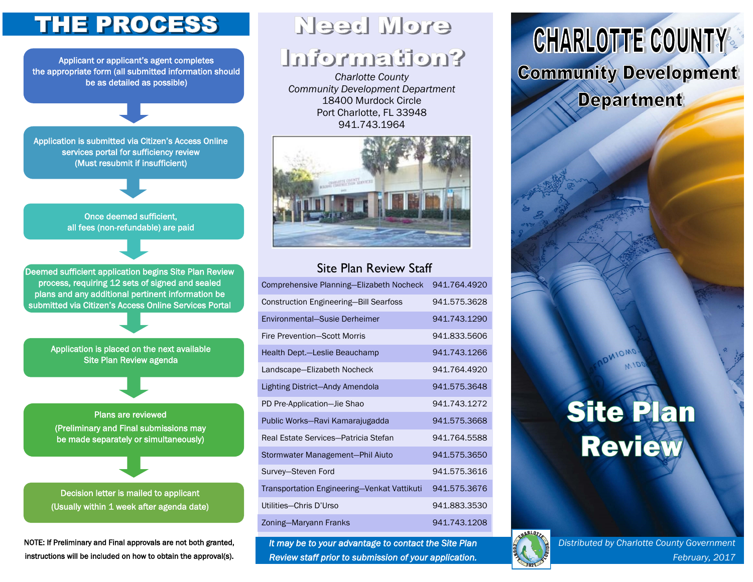## **THE PROCESS**

Applicant or applicant's agent completes the appropriate form (all submitted information should be as detailed as possible)

Application is submitted via Citizen's Access Online services portal for sufficiency review (Must resubmit if insufficient)

> Once deemed sufficient, all fees (non-refundable) are paid

Need More

## **<u> Snoftsmation?</u>**

*Charlotte County Community Development Department* 18400 Murdock Circle Port Charlotte, FL 33948 941.743.1964



### Site Plan Review Staff

| Comprehensive Planning-Elizabeth Nocheck      | 941.764.4920 |
|-----------------------------------------------|--------------|
| <b>Construction Engineering-Bill Searfoss</b> | 941.575.3628 |
| Environmental-Susie Derheimer                 | 941.743.1290 |
| <b>Fire Prevention-Scott Morris</b>           | 941.833.5606 |
| Health Dept.-Leslie Beauchamp                 | 941.743.1266 |
| Landscape-Elizabeth Nocheck                   | 941.764.4920 |
| Lighting District-Andy Amendola               | 941.575.3648 |
| PD Pre-Application-Jie Shao                   | 941.743.1272 |
| Public Works-Ravi Kamarajugadda               | 941.575.3668 |
| Real Estate Services-Patricia Stefan          | 941.764.5588 |
| Stormwater Management-Phil Aiuto              | 941.575.3650 |
| Survey-Steven Ford                            | 941.575.3616 |
| Transportation Engineering-Venkat Vattikuti   | 941.575.3676 |
| Utilities-Chris D'Urso                        | 941.883.3530 |
| Zoning-Maryann Franks                         | 941.743.1208 |

*It may be to your advantage to contact the Site Plan Review staff prior to submission of your application.* 

## **CHARLOTTE COUNTY Community Development Department**

# **Site Plan Review**

MIOMO



Deemed sufficient application begins Site Plan Review process, requiring 12 sets of signed and sealed plans and any additional pertinent information be submitted via Citizen's Access Online Services Portal

> Application is placed on the next available Site Plan Review agenda

Plans are reviewed (Preliminary and Final submissions may be made separately or simultaneously)

Decision letter is mailed to applicant (Usually within 1 week after agenda date)

NOTE: If Preliminary and Final approvals are not both granted, instructions will be included on how to obtain the approval(s).